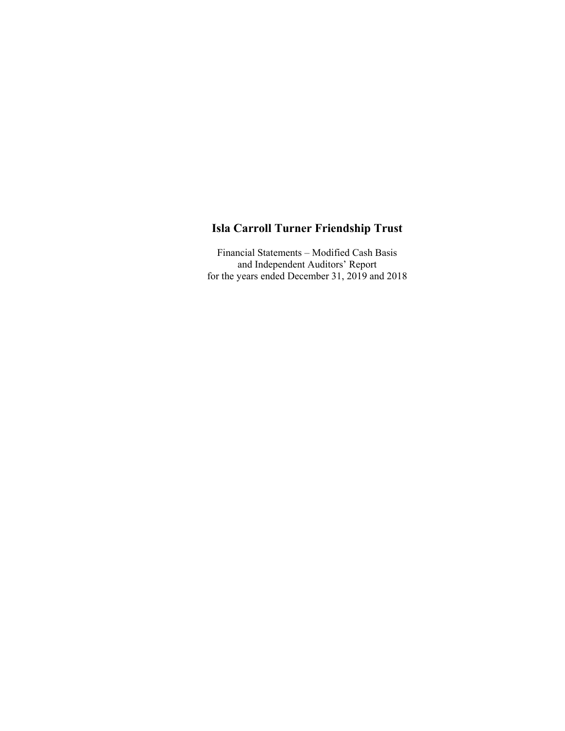Financial Statements – Modified Cash Basis and Independent Auditors' Report for the years ended December 31, 2019 and 2018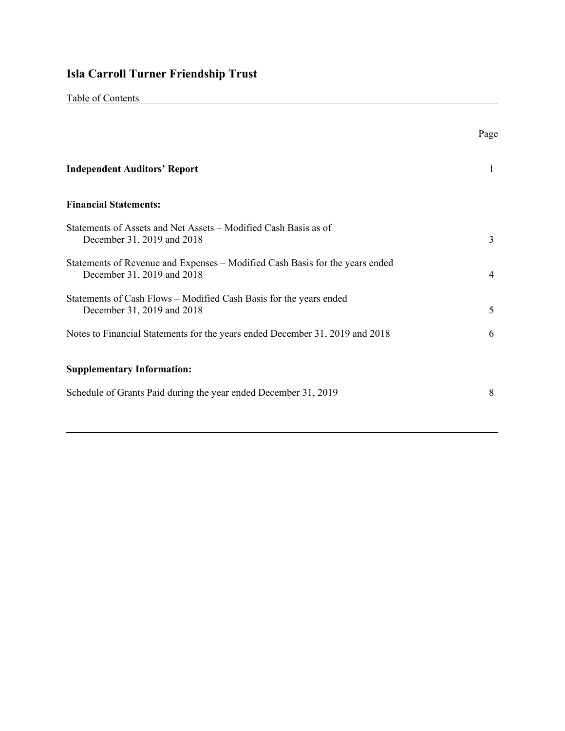|--|

|                                                                                                            | Page |
|------------------------------------------------------------------------------------------------------------|------|
| <b>Independent Auditors' Report</b>                                                                        |      |
| <b>Financial Statements:</b>                                                                               |      |
| Statements of Assets and Net Assets – Modified Cash Basis as of<br>December 31, 2019 and 2018              | 3    |
| Statements of Revenue and Expenses – Modified Cash Basis for the years ended<br>December 31, 2019 and 2018 | 4    |
| Statements of Cash Flows – Modified Cash Basis for the years ended<br>December 31, 2019 and 2018           | 5    |
| Notes to Financial Statements for the years ended December 31, 2019 and 2018                               | 6    |
| <b>Supplementary Information:</b>                                                                          |      |
| Schedule of Grants Paid during the year ended December 31, 2019                                            | 8    |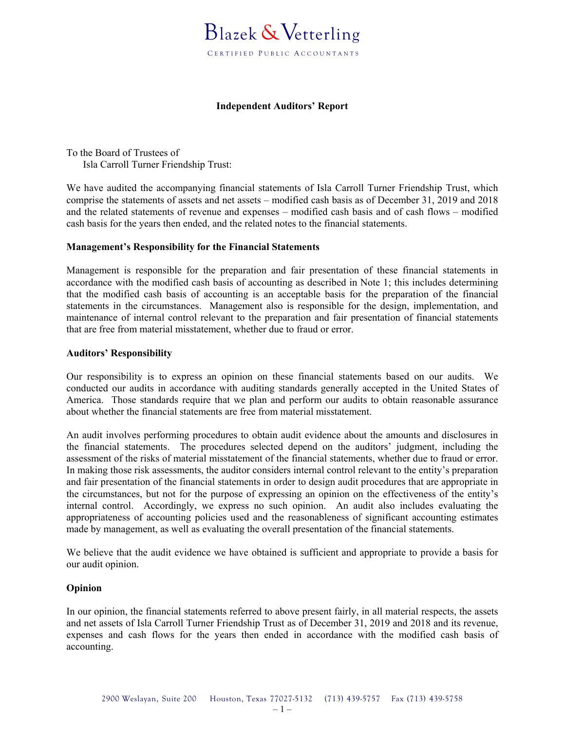## **Independent Auditors' Report**

To the Board of Trustees of Isla Carroll Turner Friendship Trust:

We have audited the accompanying financial statements of Isla Carroll Turner Friendship Trust, which comprise the statements of assets and net assets – modified cash basis as of December 31, 2019 and 2018 and the related statements of revenue and expenses – modified cash basis and of cash flows – modified cash basis for the years then ended, and the related notes to the financial statements.

## **Management's Responsibility for the Financial Statements**

Management is responsible for the preparation and fair presentation of these financial statements in accordance with the modified cash basis of accounting as described in Note 1; this includes determining that the modified cash basis of accounting is an acceptable basis for the preparation of the financial statements in the circumstances. Management also is responsible for the design, implementation, and maintenance of internal control relevant to the preparation and fair presentation of financial statements that are free from material misstatement, whether due to fraud or error.

## **Auditors' Responsibility**

Our responsibility is to express an opinion on these financial statements based on our audits. We conducted our audits in accordance with auditing standards generally accepted in the United States of America. Those standards require that we plan and perform our audits to obtain reasonable assurance about whether the financial statements are free from material misstatement.

An audit involves performing procedures to obtain audit evidence about the amounts and disclosures in the financial statements. The procedures selected depend on the auditors' judgment, including the assessment of the risks of material misstatement of the financial statements, whether due to fraud or error. In making those risk assessments, the auditor considers internal control relevant to the entity's preparation and fair presentation of the financial statements in order to design audit procedures that are appropriate in the circumstances, but not for the purpose of expressing an opinion on the effectiveness of the entity's internal control. Accordingly, we express no such opinion. An audit also includes evaluating the appropriateness of accounting policies used and the reasonableness of significant accounting estimates made by management, as well as evaluating the overall presentation of the financial statements.

We believe that the audit evidence we have obtained is sufficient and appropriate to provide a basis for our audit opinion.

## **Opinion**

In our opinion, the financial statements referred to above present fairly, in all material respects, the assets and net assets of Isla Carroll Turner Friendship Trust as of December 31, 2019 and 2018 and its revenue, expenses and cash flows for the years then ended in accordance with the modified cash basis of accounting.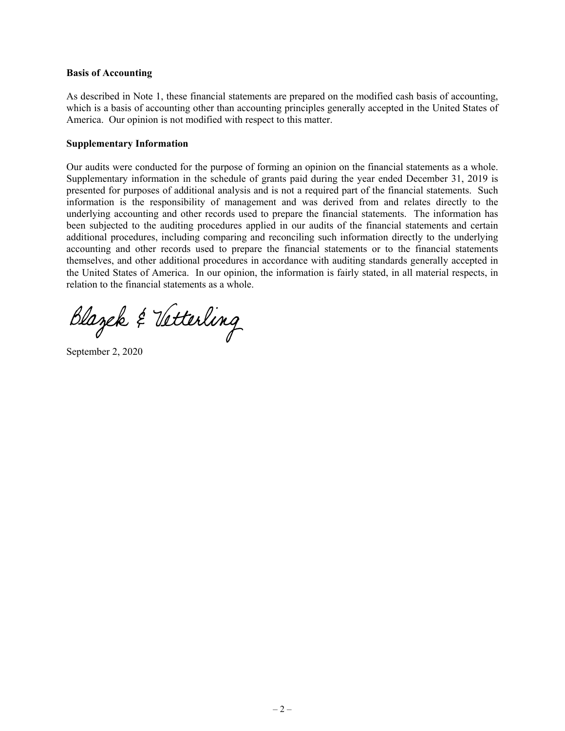#### **Basis of Accounting**

As described in Note 1, these financial statements are prepared on the modified cash basis of accounting, which is a basis of accounting other than accounting principles generally accepted in the United States of America. Our opinion is not modified with respect to this matter.

#### **Supplementary Information**

Our audits were conducted for the purpose of forming an opinion on the financial statements as a whole. Supplementary information in the schedule of grants paid during the year ended December 31, 2019 is presented for purposes of additional analysis and is not a required part of the financial statements. Such information is the responsibility of management and was derived from and relates directly to the underlying accounting and other records used to prepare the financial statements. The information has been subjected to the auditing procedures applied in our audits of the financial statements and certain additional procedures, including comparing and reconciling such information directly to the underlying accounting and other records used to prepare the financial statements or to the financial statements themselves, and other additional procedures in accordance with auditing standards generally accepted in the United States of America. In our opinion, the information is fairly stated, in all material respects, in relation to the financial statements as a whole.

Blazek & Vetterling

September 2, 2020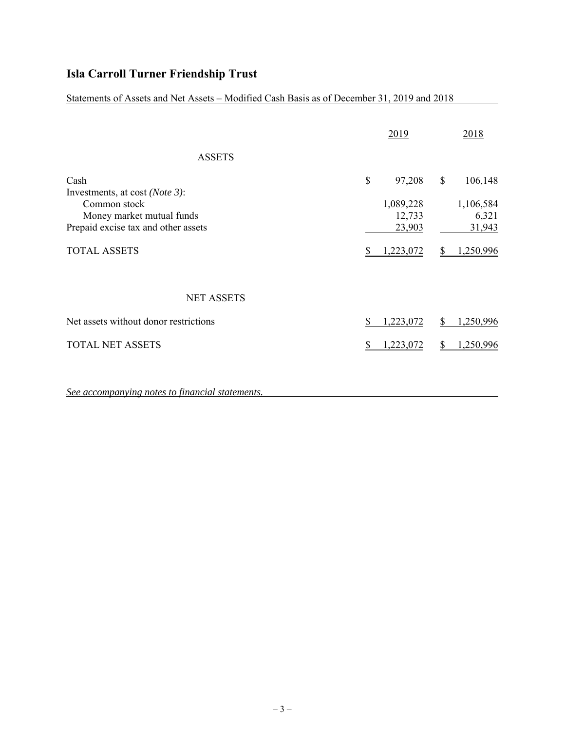Statements of Assets and Net Assets – Modified Cash Basis as of December 31, 2019 and 2018

|                                                                                              |      | 2019                          |          | 2018                          |
|----------------------------------------------------------------------------------------------|------|-------------------------------|----------|-------------------------------|
| <b>ASSETS</b>                                                                                |      |                               |          |                               |
| Cash<br>Investments, at cost ( <i>Note 3</i> ):<br>Common stock<br>Money market mutual funds | $\$$ | 97,208<br>1,089,228<br>12,733 | \$       | 106,148<br>1,106,584<br>6,321 |
| Prepaid excise tax and other assets                                                          |      | 23,903                        |          | 31,943                        |
| <b>TOTAL ASSETS</b>                                                                          |      | <u>,223,072</u>               |          | 1,250,996                     |
| <b>NET ASSETS</b>                                                                            |      |                               |          |                               |
| Net assets without donor restrictions                                                        |      | 1,223,072                     | <b>S</b> | 1,250,996                     |
| <b>TOTAL NET ASSETS</b>                                                                      |      | 1,223,072                     |          | 1,250,996                     |

*See accompanying notes to financial statements.*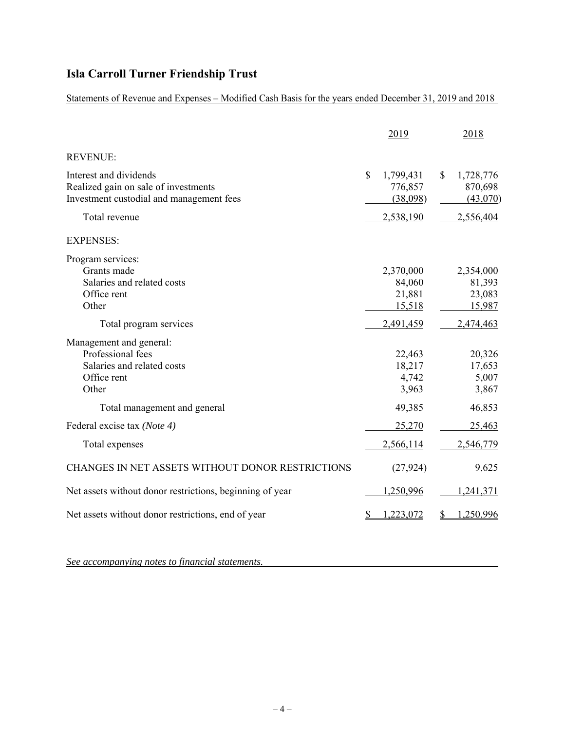Statements of Revenue and Expenses – Modified Cash Basis for the years ended December 31, 2019 and 2018

|                                                                                                                                    | 2019                                                          | 2018                                                |
|------------------------------------------------------------------------------------------------------------------------------------|---------------------------------------------------------------|-----------------------------------------------------|
| <b>REVENUE:</b>                                                                                                                    |                                                               |                                                     |
| Interest and dividends<br>Realized gain on sale of investments<br>Investment custodial and management fees<br>Total revenue        | $\mathbb{S}$<br>1,799,431<br>776,857<br>(38,098)<br>2,538,190 | 1,728,776<br>\$<br>870,698<br>(43,070)<br>2,556,404 |
| <b>EXPENSES:</b>                                                                                                                   |                                                               |                                                     |
| Program services:<br>Grants made<br>Salaries and related costs<br>Office rent                                                      | 2,370,000<br>84,060<br>21,881                                 | 2,354,000<br>81,393<br>23,083                       |
| Other<br>Total program services                                                                                                    | 15,518<br>2,491,459                                           | 15,987<br>2,474,463                                 |
| Management and general:<br>Professional fees<br>Salaries and related costs<br>Office rent<br>Other<br>Total management and general | 22,463<br>18,217<br>4,742<br>3,963<br>49,385                  | 20,326<br>17,653<br>5,007<br>3,867<br>46,853        |
| Federal excise tax (Note 4)                                                                                                        | 25,270                                                        | 25,463                                              |
| Total expenses                                                                                                                     | 2,566,114                                                     | 2,546,779                                           |
| CHANGES IN NET ASSETS WITHOUT DONOR RESTRICTIONS                                                                                   | (27, 924)                                                     | 9,625                                               |
| Net assets without donor restrictions, beginning of year                                                                           | 1,250,996                                                     | 1,241,371                                           |
| Net assets without donor restrictions, end of year                                                                                 | 1,223,072                                                     | 1,250,996<br>S                                      |

*See accompanying notes to financial statements.*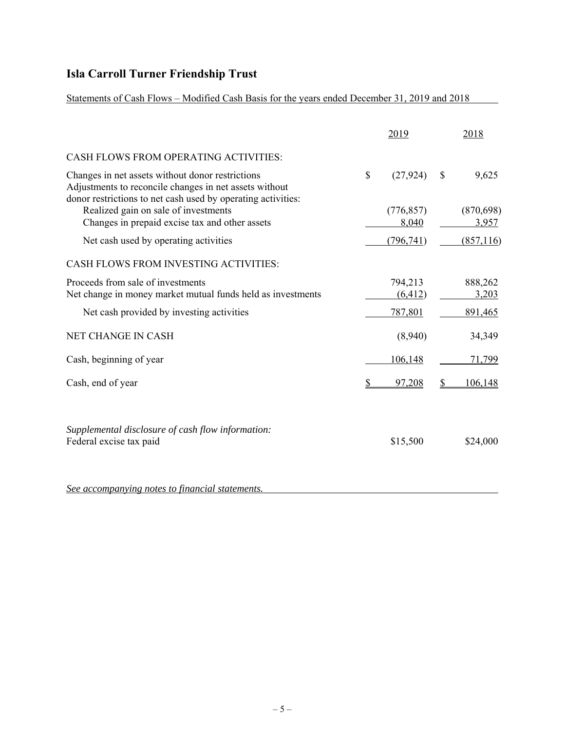Statements of Cash Flows – Modified Cash Basis for the years ended December 31, 2019 and 2018

|                                                                                                                                                                            | 2019                |                        | 2018                |
|----------------------------------------------------------------------------------------------------------------------------------------------------------------------------|---------------------|------------------------|---------------------|
| CASH FLOWS FROM OPERATING ACTIVITIES:                                                                                                                                      |                     |                        |                     |
| Changes in net assets without donor restrictions<br>Adjustments to reconcile changes in net assets without<br>donor restrictions to net cash used by operating activities: | \$<br>(27, 924)     | \$                     | 9,625               |
| Realized gain on sale of investments<br>Changes in prepaid excise tax and other assets                                                                                     | (776, 857)<br>8,040 |                        | (870, 698)<br>3,957 |
| Net cash used by operating activities                                                                                                                                      | (796, 741)          |                        | (857,116)           |
| CASH FLOWS FROM INVESTING ACTIVITIES:                                                                                                                                      |                     |                        |                     |
| Proceeds from sale of investments<br>Net change in money market mutual funds held as investments                                                                           | 794,213<br>(6, 412) |                        | 888,262<br>3,203    |
| Net cash provided by investing activities                                                                                                                                  | 787,801             |                        | 891,465             |
| NET CHANGE IN CASH                                                                                                                                                         | (8,940)             |                        | 34,349              |
| Cash, beginning of year                                                                                                                                                    | 106,148             |                        | 71,799              |
| Cash, end of year                                                                                                                                                          | 97,208              | $\mathbf{\mathcal{S}}$ | 106,148             |
| Supplemental disclosure of cash flow information:<br>Federal excise tax paid                                                                                               | \$15,500            |                        | \$24,000            |
| See accompanying notes to financial statements.                                                                                                                            |                     |                        |                     |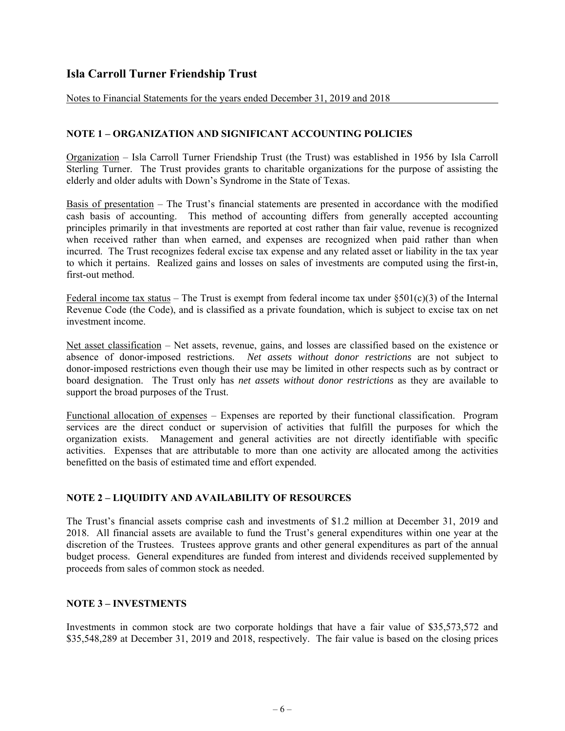Notes to Financial Statements for the years ended December 31, 2019 and 2018

## **NOTE 1 – ORGANIZATION AND SIGNIFICANT ACCOUNTING POLICIES**

Organization – Isla Carroll Turner Friendship Trust (the Trust) was established in 1956 by Isla Carroll Sterling Turner. The Trust provides grants to charitable organizations for the purpose of assisting the elderly and older adults with Down's Syndrome in the State of Texas.

Basis of presentation – The Trust's financial statements are presented in accordance with the modified cash basis of accounting. This method of accounting differs from generally accepted accounting principles primarily in that investments are reported at cost rather than fair value, revenue is recognized when received rather than when earned, and expenses are recognized when paid rather than when incurred. The Trust recognizes federal excise tax expense and any related asset or liability in the tax year to which it pertains. Realized gains and losses on sales of investments are computed using the first-in, first-out method.

Federal income tax status – The Trust is exempt from federal income tax under  $\S501(c)(3)$  of the Internal Revenue Code (the Code), and is classified as a private foundation, which is subject to excise tax on net investment income.

Net asset classification – Net assets, revenue, gains, and losses are classified based on the existence or absence of donor-imposed restrictions. *Net assets without donor restrictions* are not subject to donor-imposed restrictions even though their use may be limited in other respects such as by contract or board designation. The Trust only has *net assets without donor restrictions* as they are available to support the broad purposes of the Trust.

Functional allocation of expenses – Expenses are reported by their functional classification. Program services are the direct conduct or supervision of activities that fulfill the purposes for which the organization exists. Management and general activities are not directly identifiable with specific activities. Expenses that are attributable to more than one activity are allocated among the activities benefitted on the basis of estimated time and effort expended.

## **NOTE 2 – LIQUIDITY AND AVAILABILITY OF RESOURCES**

The Trust's financial assets comprise cash and investments of \$1.2 million at December 31, 2019 and 2018. All financial assets are available to fund the Trust's general expenditures within one year at the discretion of the Trustees. Trustees approve grants and other general expenditures as part of the annual budget process. General expenditures are funded from interest and dividends received supplemented by proceeds from sales of common stock as needed.

## **NOTE 3 – INVESTMENTS**

Investments in common stock are two corporate holdings that have a fair value of \$35,573,572 and \$35,548,289 at December 31, 2019 and 2018, respectively. The fair value is based on the closing prices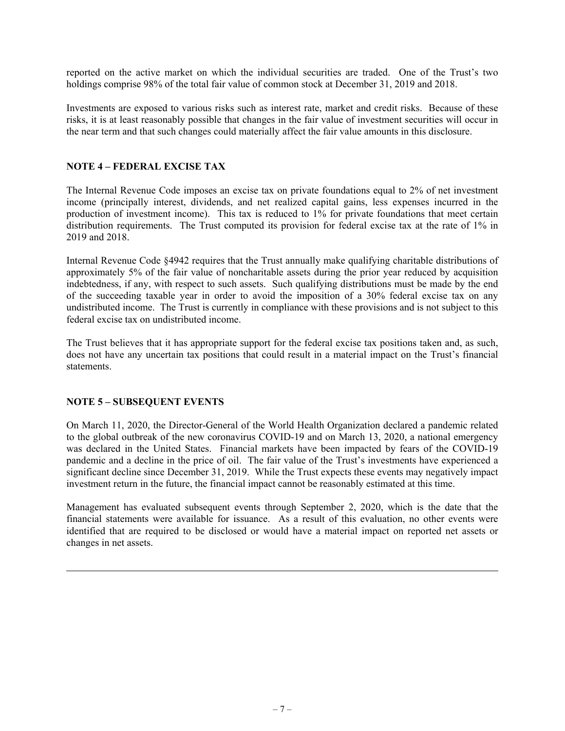reported on the active market on which the individual securities are traded. One of the Trust's two holdings comprise 98% of the total fair value of common stock at December 31, 2019 and 2018.

Investments are exposed to various risks such as interest rate, market and credit risks. Because of these risks, it is at least reasonably possible that changes in the fair value of investment securities will occur in the near term and that such changes could materially affect the fair value amounts in this disclosure.

## **NOTE 4 – FEDERAL EXCISE TAX**

The Internal Revenue Code imposes an excise tax on private foundations equal to 2% of net investment income (principally interest, dividends, and net realized capital gains, less expenses incurred in the production of investment income). This tax is reduced to 1% for private foundations that meet certain distribution requirements. The Trust computed its provision for federal excise tax at the rate of 1% in 2019 and 2018.

Internal Revenue Code §4942 requires that the Trust annually make qualifying charitable distributions of approximately 5% of the fair value of noncharitable assets during the prior year reduced by acquisition indebtedness, if any, with respect to such assets. Such qualifying distributions must be made by the end of the succeeding taxable year in order to avoid the imposition of a 30% federal excise tax on any undistributed income. The Trust is currently in compliance with these provisions and is not subject to this federal excise tax on undistributed income.

The Trust believes that it has appropriate support for the federal excise tax positions taken and, as such, does not have any uncertain tax positions that could result in a material impact on the Trust's financial statements.

## **NOTE 5 – SUBSEQUENT EVENTS**

On March 11, 2020, the Director-General of the World Health Organization declared a pandemic related to the global outbreak of the new coronavirus COVID-19 and on March 13, 2020, a national emergency was declared in the United States. Financial markets have been impacted by fears of the COVID-19 pandemic and a decline in the price of oil. The fair value of the Trust's investments have experienced a significant decline since December 31, 2019. While the Trust expects these events may negatively impact investment return in the future, the financial impact cannot be reasonably estimated at this time.

Management has evaluated subsequent events through September 2, 2020, which is the date that the financial statements were available for issuance. As a result of this evaluation, no other events were identified that are required to be disclosed or would have a material impact on reported net assets or changes in net assets.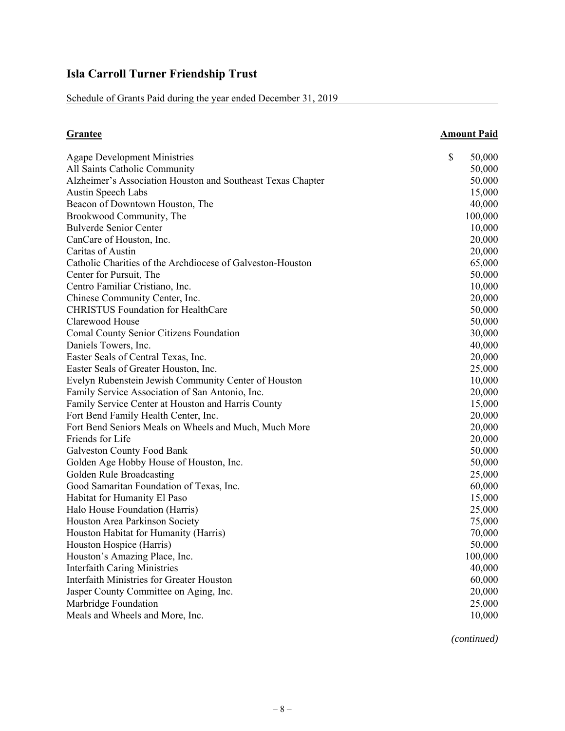Schedule of Grants Paid during the year ended December 31, 2019

| <b>Grantee</b>                                              | <b>Amount Paid</b> |         |
|-------------------------------------------------------------|--------------------|---------|
| <b>Agape Development Ministries</b>                         | \$                 | 50,000  |
| All Saints Catholic Community                               |                    | 50,000  |
| Alzheimer's Association Houston and Southeast Texas Chapter |                    | 50,000  |
| <b>Austin Speech Labs</b>                                   |                    | 15,000  |
| Beacon of Downtown Houston, The                             |                    | 40,000  |
| Brookwood Community, The                                    |                    | 100,000 |
| <b>Bulverde Senior Center</b>                               |                    | 10,000  |
| CanCare of Houston, Inc.                                    |                    | 20,000  |
| Caritas of Austin                                           |                    | 20,000  |
| Catholic Charities of the Archdiocese of Galveston-Houston  |                    | 65,000  |
| Center for Pursuit, The                                     |                    | 50,000  |
| Centro Familiar Cristiano, Inc.                             |                    | 10,000  |
| Chinese Community Center, Inc.                              |                    | 20,000  |
| <b>CHRISTUS Foundation for HealthCare</b>                   |                    | 50,000  |
| Clarewood House                                             |                    | 50,000  |
| Comal County Senior Citizens Foundation                     |                    | 30,000  |
| Daniels Towers, Inc.                                        |                    | 40,000  |
| Easter Seals of Central Texas, Inc.                         |                    | 20,000  |
| Easter Seals of Greater Houston, Inc.                       |                    | 25,000  |
| Evelyn Rubenstein Jewish Community Center of Houston        |                    | 10,000  |
| Family Service Association of San Antonio, Inc.             |                    | 20,000  |
| Family Service Center at Houston and Harris County          |                    | 15,000  |
| Fort Bend Family Health Center, Inc.                        |                    | 20,000  |
| Fort Bend Seniors Meals on Wheels and Much, Much More       |                    | 20,000  |
| Friends for Life                                            |                    | 20,000  |
| <b>Galveston County Food Bank</b>                           |                    | 50,000  |
| Golden Age Hobby House of Houston, Inc.                     |                    | 50,000  |
| Golden Rule Broadcasting                                    |                    | 25,000  |
| Good Samaritan Foundation of Texas, Inc.                    |                    | 60,000  |
| Habitat for Humanity El Paso                                |                    | 15,000  |
| Halo House Foundation (Harris)                              |                    | 25,000  |
| Houston Area Parkinson Society                              |                    | 75,000  |
| Houston Habitat for Humanity (Harris)                       |                    | 70,000  |
| Houston Hospice (Harris)                                    |                    | 50,000  |
| Houston's Amazing Place, Inc.                               |                    | 100,000 |
| <b>Interfaith Caring Ministries</b>                         |                    | 40,000  |
| <b>Interfaith Ministries for Greater Houston</b>            |                    | 60,000  |
| Jasper County Committee on Aging, Inc.                      |                    | 20,000  |
| Marbridge Foundation                                        |                    | 25,000  |
| Meals and Wheels and More, Inc.                             |                    | 10,000  |

*(continued)*